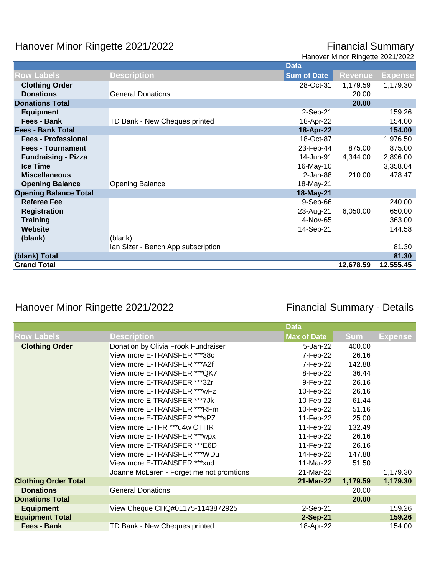## Hanover Minor Ringette 2021/2022

## **Financial Summary**<br>Hanover Minor Ringette 2021/2022

| <b>Row Labels</b><br><b>Description</b><br><b>Sum of Date</b><br><b>Revenue</b><br><b>Clothing Order</b><br>28-Oct-31<br>1,179.59<br><b>Donations</b><br><b>General Donations</b><br>20.00 | <b>Expense</b><br>1,179.30<br>159.26 |
|--------------------------------------------------------------------------------------------------------------------------------------------------------------------------------------------|--------------------------------------|
|                                                                                                                                                                                            |                                      |
|                                                                                                                                                                                            |                                      |
|                                                                                                                                                                                            |                                      |
| <b>Donations Total</b><br>20.00                                                                                                                                                            |                                      |
| <b>Equipment</b><br>2-Sep-21                                                                                                                                                               |                                      |
| Fees - Bank<br>18-Apr-22<br>TD Bank - New Cheques printed                                                                                                                                  | 154.00                               |
| 18-Apr-22<br><b>Fees - Bank Total</b>                                                                                                                                                      | 154.00                               |
| 18-Oct-87<br><b>Fees - Professional</b>                                                                                                                                                    | 1,976.50                             |
| 23-Feb-44<br>875.00<br><b>Fees - Tournament</b>                                                                                                                                            | 875.00                               |
| 14-Jun-91<br><b>Fundraising - Pizza</b><br>4,344.00                                                                                                                                        | 2,896.00                             |
| <b>Ice Time</b><br>16-May-10                                                                                                                                                               | 3,358.04                             |
| $2$ -Jan-88<br>210.00<br><b>Miscellaneous</b>                                                                                                                                              | 478.47                               |
| 18-May-21<br><b>Opening Balance</b><br><b>Opening Balance</b>                                                                                                                              |                                      |
| <b>Opening Balance Total</b><br>18-May-21                                                                                                                                                  |                                      |
| <b>Referee Fee</b><br>9-Sep-66                                                                                                                                                             | 240.00                               |
| 23-Aug-21<br>6,050.00<br><b>Registration</b>                                                                                                                                               | 650.00                               |
| 4-Nov-65<br><b>Training</b>                                                                                                                                                                | 363.00                               |
| Website<br>14-Sep-21                                                                                                                                                                       | 144.58                               |
| (blank)<br>(blank)                                                                                                                                                                         |                                      |
| Ian Sizer - Bench App subscription                                                                                                                                                         | 81.30                                |
| (blank) Total                                                                                                                                                                              | 81.30                                |
| <b>Grand Total</b><br>12,555.45<br>12,678.59                                                                                                                                               |                                      |

## Hanover Minor Ringette 2021/2022 **Financial Summary - Details**

|                             |                                          | <b>Data</b>        |            |                |
|-----------------------------|------------------------------------------|--------------------|------------|----------------|
| <b>Row Labels</b>           | <b>Description</b>                       | <b>Max of Date</b> | <b>Sum</b> | <b>Expense</b> |
| <b>Clothing Order</b>       | Donation by Olivia Frook Fundraiser      | 5-Jan-22           | 400.00     |                |
|                             | View more E-TRANSFER ***38c              | 7-Feb-22           | 26.16      |                |
|                             | View more E-TRANSFER *** A2f             | 7-Feb-22           | 142.88     |                |
|                             | View more E-TRANSFER *** QK7             | 8-Feb-22           | 36.44      |                |
|                             | View more E-TRANSFER ***32r              | 9-Feb-22           | 26.16      |                |
|                             | View more E-TRANSFER *** wFz             | 10-Feb-22          | 26.16      |                |
|                             | View more E-TRANSFER ***7Jk              | 10-Feb-22          | 61.44      |                |
|                             | View more E-TRANSFER ***RFm              | 10-Feb-22          | 51.16      |                |
|                             | View more E-TRANSFER *** sPZ             | 11-Feb-22          | 25.00      |                |
|                             | View more E-TFR ***u4w OTHR              | 11-Feb-22          | 132.49     |                |
|                             | View more E-TRANSFER ***wpx              | 11-Feb-22          | 26.16      |                |
|                             | View more E-TRANSFER ***E6D              | 11-Feb-22          | 26.16      |                |
|                             | View more E-TRANSFER ***WDu              | 14-Feb-22          | 147.88     |                |
|                             | View more E-TRANSFER *** xud             | 11-Mar-22          | 51.50      |                |
|                             | Joanne McLaren - Forget me not promtions | 21-Mar-22          |            | 1,179.30       |
| <b>Clothing Order Total</b> |                                          | 21-Mar-22          | 1,179.59   | 1,179.30       |
| <b>Donations</b>            | <b>General Donations</b>                 |                    | 20.00      |                |
| <b>Donations Total</b>      |                                          |                    | 20.00      |                |
| <b>Equipment</b>            | View Cheque CHQ#01175-1143872925         | 2-Sep-21           |            | 159.26         |
| <b>Equipment Total</b>      |                                          | 2-Sep-21           |            | 159.26         |
| <b>Fees - Bank</b>          | TD Bank - New Cheques printed            | 18-Apr-22          |            | 154.00         |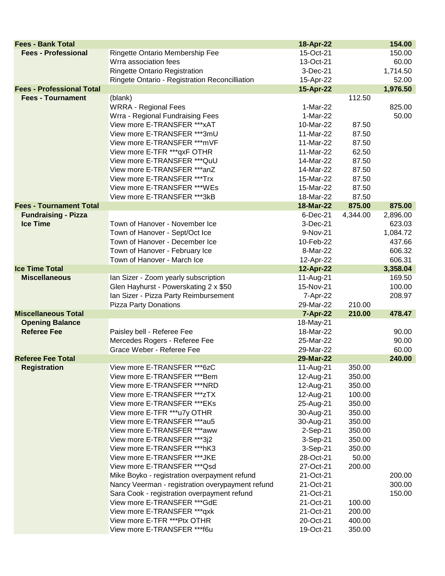| <b>Fees - Bank Total</b>         |                                                  | 18-Apr-22              |          | 154.00          |
|----------------------------------|--------------------------------------------------|------------------------|----------|-----------------|
| <b>Fees - Professional</b>       | Ringette Ontario Membership Fee                  | 15-Oct-21              |          | 150.00          |
|                                  | Wrra association fees                            | 13-Oct-21              |          | 60.00           |
|                                  | <b>Ringette Ontario Registration</b>             | 3-Dec-21               |          | 1,714.50        |
|                                  | Ringete Ontario - Registration Reconcilliation   | 15-Apr-22              |          | 52.00           |
| <b>Fees - Professional Total</b> |                                                  | 15-Apr-22              |          | 1,976.50        |
| <b>Fees - Tournament</b>         | (blank)                                          |                        | 112.50   |                 |
|                                  | <b>WRRA - Regional Fees</b>                      | 1-Mar-22               |          | 825.00          |
|                                  | Wrra - Regional Fundraising Fees                 | 1-Mar-22               |          | 50.00           |
|                                  | View more E-TRANSFER *** xAT                     | 10-Mar-22              | 87.50    |                 |
|                                  | View more E-TRANSFER ***3mU                      | 11-Mar-22              | 87.50    |                 |
|                                  | View more E-TRANSFER *** mVF                     | 11-Mar-22              | 87.50    |                 |
|                                  | View more E-TFR ***qxF OTHR                      | 11-Mar-22              | 62.50    |                 |
|                                  | View more E-TRANSFER *** QuU                     | 14-Mar-22              | 87.50    |                 |
|                                  | View more E-TRANSFER ***anZ                      | 14-Mar-22              | 87.50    |                 |
|                                  | View more E-TRANSFER ***Trx                      | 15-Mar-22              | 87.50    |                 |
|                                  | View more E-TRANSFER ***WEs                      | 15-Mar-22              | 87.50    |                 |
|                                  | View more E-TRANSFER ***3kB                      | 18-Mar-22              | 87.50    |                 |
| <b>Fees - Tournament Total</b>   |                                                  | 18-Mar-22              | 875.00   | 875.00          |
| <b>Fundraising - Pizza</b>       |                                                  | 6-Dec-21               | 4,344.00 | 2,896.00        |
| <b>Ice Time</b>                  | Town of Hanover - November Ice                   | 3-Dec-21               |          | 623.03          |
|                                  | Town of Hanover - Sept/Oct Ice                   | 9-Nov-21               |          | 1,084.72        |
|                                  | Town of Hanover - December Ice                   | 10-Feb-22              |          | 437.66          |
|                                  | Town of Hanover - February Ice                   | 8-Mar-22               |          | 606.32          |
|                                  | Town of Hanover - March Ice                      | 12-Apr-22              |          | 606.31          |
| <b>Ice Time Total</b>            |                                                  | 12-Apr-22              |          | 3,358.04        |
| <b>Miscellaneous</b>             | Ian Sizer - Zoom yearly subscription             | 11-Aug-21              |          | 169.50          |
|                                  | Glen Hayhurst - Powerskating 2 x \$50            | 15-Nov-21              |          | 100.00          |
|                                  | Ian Sizer - Pizza Party Reimbursement            | 7-Apr-22               |          | 208.97          |
|                                  | <b>Pizza Party Donations</b>                     | 29-Mar-22              | 210.00   |                 |
| <b>Miscellaneous Total</b>       |                                                  | 7-Apr-22               | 210.00   | 478.47          |
| <b>Opening Balance</b>           |                                                  | 18-May-21              |          |                 |
| <b>Referee Fee</b>               | Paisley bell - Referee Fee                       | 18-Mar-22              |          | 90.00           |
|                                  | Mercedes Rogers - Referee Fee                    | 25-Mar-22              |          | 90.00           |
| <b>Referee Fee Total</b>         | Grace Weber - Referee Fee                        | 29-Mar-22<br>29-Mar-22 |          | 60.00<br>240.00 |
| <b>Registration</b>              | View more E-TRANSFER ***6zC                      | 11-Aug-21              | 350.00   |                 |
|                                  | View more E-TRANSFER ***Bem                      | 12-Aug-21              | 350.00   |                 |
|                                  | View more E-TRANSFER ***NRD                      | 12-Aug-21              | 350.00   |                 |
|                                  | View more E-TRANSFER *** zTX                     | 12-Aug-21              | 100.00   |                 |
|                                  | View more E-TRANSFER *** EKs                     | 25-Aug-21              | 350.00   |                 |
|                                  | View more E-TFR ***u7y OTHR                      | 30-Aug-21              | 350.00   |                 |
|                                  | View more E-TRANSFER ***au5                      | 30-Aug-21              | 350.00   |                 |
|                                  | View more E-TRANSFER ***aww                      | 2-Sep-21               | 350.00   |                 |
|                                  | View more E-TRANSFER ***3j2                      | 3-Sep-21               | 350.00   |                 |
|                                  | View more E-TRANSFER *** hK3                     | 3-Sep-21               | 350.00   |                 |
|                                  | View more E-TRANSFER *** JKE                     | 28-Oct-21              | 50.00    |                 |
|                                  | View more E-TRANSFER *** Qsd                     | 27-Oct-21              | 200.00   |                 |
|                                  | Mike Boyko - registration overpayment refund     | 21-Oct-21              |          | 200.00          |
|                                  | Nancy Veerman - registration overypayment refund | 21-Oct-21              |          | 300.00          |
|                                  | Sara Cook - registration overpayment refund      | 21-Oct-21              |          | 150.00          |
|                                  | View more E-TRANSFER *** GdE                     | 21-Oct-21              | 100.00   |                 |
|                                  | View more E-TRANSFER ***qxk                      | 21-Oct-21              | 200.00   |                 |
|                                  | View more E-TFR ***Ptx OTHR                      | 20-Oct-21              | 400.00   |                 |
|                                  | View more E-TRANSFER ***f6u                      | 19-Oct-21              | 350.00   |                 |
|                                  |                                                  |                        |          |                 |